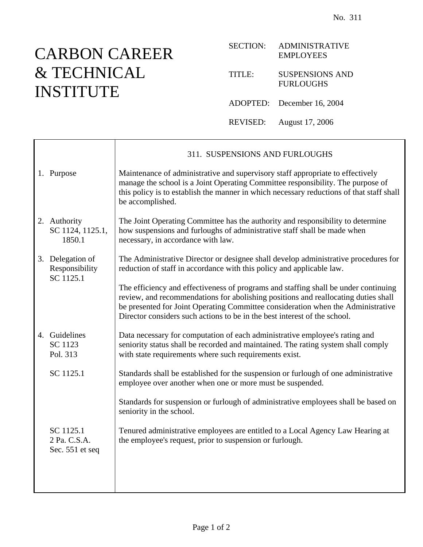## CARBON CAREER & TECHNICAL INSTITUTE

┯

## SECTION: ADMINISTRATIVE EMPLOYEES

TITLE: SUSPENSIONS AND FURLOUGHS

ADOPTED: December 16, 2004

REVISED: August 17, 2006

|  |                                                 | 311. SUSPENSIONS AND FURLOUGHS                                                                                                                                                                                                                                                                                                             |
|--|-------------------------------------------------|--------------------------------------------------------------------------------------------------------------------------------------------------------------------------------------------------------------------------------------------------------------------------------------------------------------------------------------------|
|  | 1. Purpose                                      | Maintenance of administrative and supervisory staff appropriate to effectively<br>manage the school is a Joint Operating Committee responsibility. The purpose of<br>this policy is to establish the manner in which necessary reductions of that staff shall<br>be accomplished.                                                          |
|  | 2. Authority<br>SC 1124, 1125.1,<br>1850.1      | The Joint Operating Committee has the authority and responsibility to determine<br>how suspensions and furloughs of administrative staff shall be made when<br>necessary, in accordance with law.                                                                                                                                          |
|  | 3. Delegation of<br>Responsibility<br>SC 1125.1 | The Administrative Director or designee shall develop administrative procedures for<br>reduction of staff in accordance with this policy and applicable law.                                                                                                                                                                               |
|  |                                                 | The efficiency and effectiveness of programs and staffing shall be under continuing<br>review, and recommendations for abolishing positions and reallocating duties shall<br>be presented for Joint Operating Committee consideration when the Administrative<br>Director considers such actions to be in the best interest of the school. |
|  | 4. Guidelines<br>SC 1123<br>Pol. 313            | Data necessary for computation of each administrative employee's rating and<br>seniority status shall be recorded and maintained. The rating system shall comply<br>with state requirements where such requirements exist.                                                                                                                 |
|  | SC 1125.1                                       | Standards shall be established for the suspension or furlough of one administrative<br>employee over another when one or more must be suspended.                                                                                                                                                                                           |
|  |                                                 | Standards for suspension or furlough of administrative employees shall be based on<br>seniority in the school.                                                                                                                                                                                                                             |
|  | SC 1125.1<br>2 Pa. C.S.A.<br>Sec. 551 et seq    | Tenured administrative employees are entitled to a Local Agency Law Hearing at<br>the employee's request, prior to suspension or furlough.                                                                                                                                                                                                 |
|  |                                                 |                                                                                                                                                                                                                                                                                                                                            |